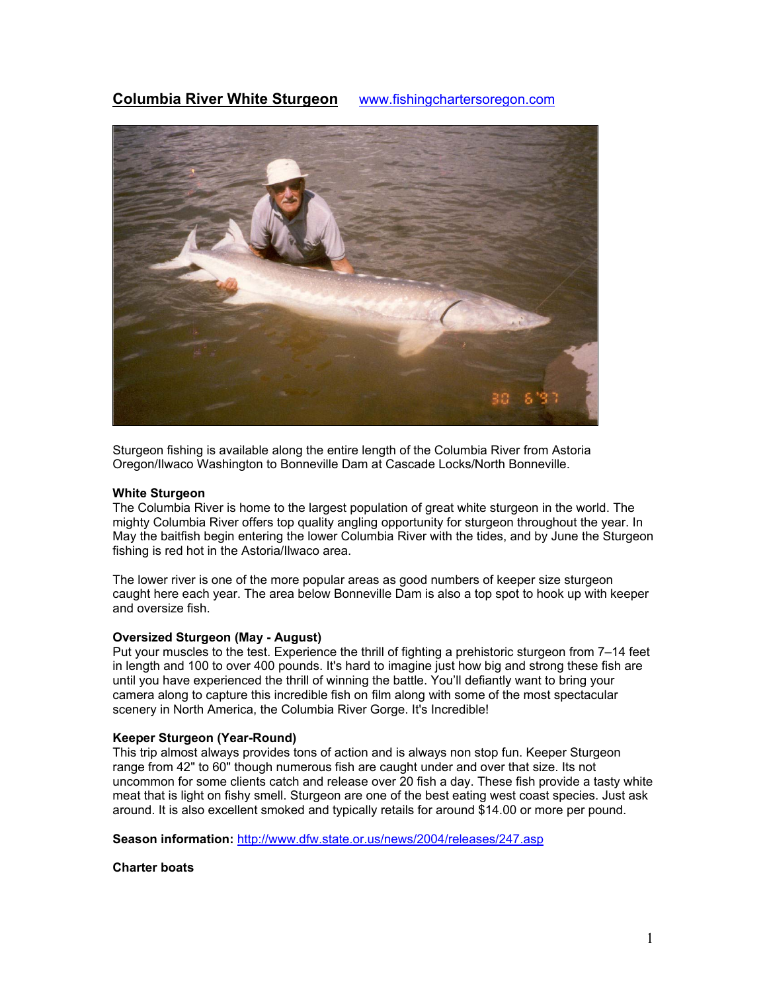# **Columbia River White Sturgeon** www.fishingchartersoregon.com



Sturgeon fishing is available along the entire length of the Columbia River from Astoria Oregon/Ilwaco Washington to Bonneville Dam at Cascade Locks/North Bonneville.

## **White Sturgeon**

The Columbia River is home to the largest population of great white sturgeon in the world. The mighty Columbia River offers top quality angling opportunity for sturgeon throughout the year. In May the baitfish begin entering the lower Columbia River with the tides, and by June the Sturgeon fishing is red hot in the Astoria/Ilwaco area.

The lower river is one of the more popular areas as good numbers of keeper size sturgeon caught here each year. The area below Bonneville Dam is also a top spot to hook up with keeper and oversize fish.

### **Oversized Sturgeon (May - August)**

Put your muscles to the test. Experience the thrill of fighting a prehistoric sturgeon from 7–14 feet in length and 100 to over 400 pounds. It's hard to imagine just how big and strong these fish are until you have experienced the thrill of winning the battle. You'll defiantly want to bring your camera along to capture this incredible fish on film along with some of the most spectacular scenery in North America, the Columbia River Gorge. It's Incredible!

#### **Keeper Sturgeon (Year-Round)**

This trip almost always provides tons of action and is always non stop fun. Keeper Sturgeon range from 42" to 60" though numerous fish are caught under and over that size. Its not uncommon for some clients catch and release over 20 fish a day. These fish provide a tasty white meat that is light on fishy smell. Sturgeon are one of the best eating west coast species. Just ask around. It is also excellent smoked and typically retails for around \$14.00 or more per pound.

**Season information:** http://www.dfw.state.or.us/news/2004/releases/247.asp

#### **Charter boats**